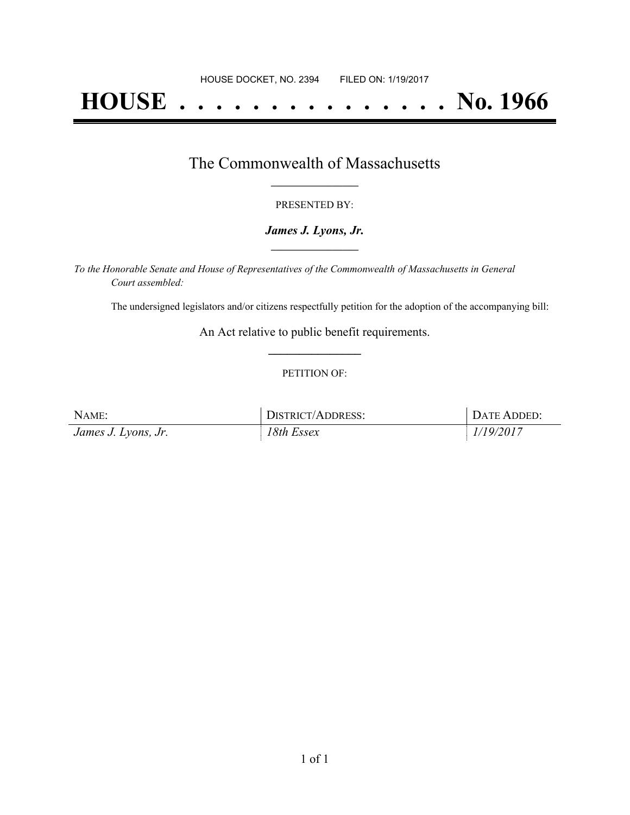# **HOUSE . . . . . . . . . . . . . . . No. 1966**

## The Commonwealth of Massachusetts **\_\_\_\_\_\_\_\_\_\_\_\_\_\_\_\_\_**

#### PRESENTED BY:

#### *James J. Lyons, Jr.* **\_\_\_\_\_\_\_\_\_\_\_\_\_\_\_\_\_**

*To the Honorable Senate and House of Representatives of the Commonwealth of Massachusetts in General Court assembled:*

The undersigned legislators and/or citizens respectfully petition for the adoption of the accompanying bill:

An Act relative to public benefit requirements. **\_\_\_\_\_\_\_\_\_\_\_\_\_\_\_**

#### PETITION OF:

| NAME:               | DISTRICT/ADDRESS: | DATE ADDED: |
|---------------------|-------------------|-------------|
| James J. Lyons, Jr. | 18th Essex        | 1/19/2017   |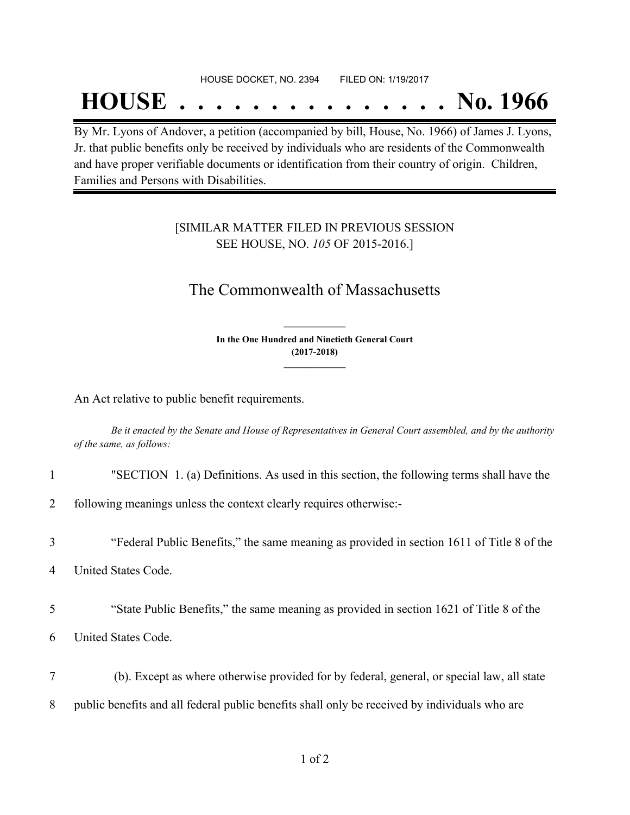#### HOUSE DOCKET, NO. 2394 FILED ON: 1/19/2017

## **HOUSE . . . . . . . . . . . . . . . No. 1966**

By Mr. Lyons of Andover, a petition (accompanied by bill, House, No. 1966) of James J. Lyons, Jr. that public benefits only be received by individuals who are residents of the Commonwealth and have proper verifiable documents or identification from their country of origin. Children, Families and Persons with Disabilities.

### [SIMILAR MATTER FILED IN PREVIOUS SESSION SEE HOUSE, NO. *105* OF 2015-2016.]

## The Commonwealth of Massachusetts

**In the One Hundred and Ninetieth General Court (2017-2018) \_\_\_\_\_\_\_\_\_\_\_\_\_\_\_**

**\_\_\_\_\_\_\_\_\_\_\_\_\_\_\_**

An Act relative to public benefit requirements.

Be it enacted by the Senate and House of Representatives in General Court assembled, and by the authority *of the same, as follows:*

1 "SECTION 1. (a) Definitions. As used in this section, the following terms shall have the

2 following meanings unless the context clearly requires otherwise:-

3 "Federal Public Benefits," the same meaning as provided in section 1611 of Title 8 of the

- 4 United States Code.
- 5 "State Public Benefits," the same meaning as provided in section 1621 of Title 8 of the
- 6 United States Code.
- 7 (b). Except as where otherwise provided for by federal, general, or special law, all state
- 8 public benefits and all federal public benefits shall only be received by individuals who are